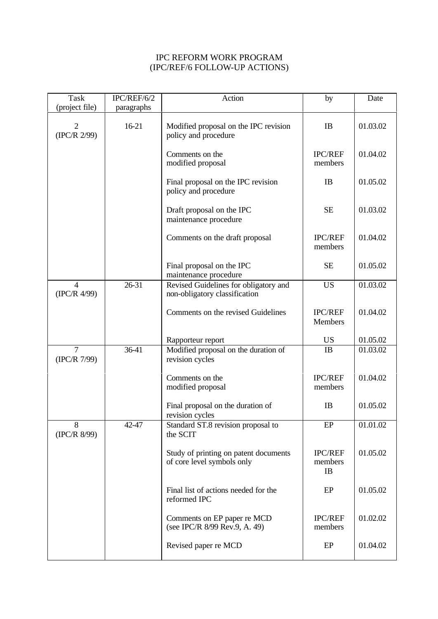## IPC REFORM WORK PROGRAM (IPC/REF/6 FOLLOW-UP ACTIONS)

| Task                           | IPC/REF/6/2 | Action                                                              | by                              | Date     |
|--------------------------------|-------------|---------------------------------------------------------------------|---------------------------------|----------|
| (project file)                 | paragraphs  |                                                                     |                                 |          |
| $\overline{2}$<br>(IPC/R 2/99) | 16-21       | Modified proposal on the IPC revision<br>policy and procedure       | <b>IB</b>                       | 01.03.02 |
|                                |             | Comments on the<br>modified proposal                                | <b>IPC/REF</b><br>members       | 01.04.02 |
|                                |             | Final proposal on the IPC revision<br>policy and procedure          | <b>IB</b>                       | 01.05.02 |
|                                |             | Draft proposal on the IPC<br>maintenance procedure                  | <b>SE</b>                       | 01.03.02 |
|                                |             | Comments on the draft proposal                                      | <b>IPC/REF</b><br>members       | 01.04.02 |
|                                |             | Final proposal on the IPC<br>maintenance procedure                  | <b>SE</b>                       | 01.05.02 |
| $\overline{4}$                 | $26-31$     | Revised Guidelines for obligatory and                               | <b>US</b>                       | 01.03.02 |
| (IPC/R 4/99)                   |             | non-obligatory classification                                       |                                 |          |
|                                |             | Comments on the revised Guidelines                                  | <b>IPC/REF</b><br>Members       | 01.04.02 |
|                                |             | Rapporteur report                                                   | US                              | 01.05.02 |
| $\overline{7}$<br>(IPC/R 7/99) | $36-41$     | Modified proposal on the duration of<br>revision cycles             | <b>IB</b>                       | 01.03.02 |
|                                |             | Comments on the<br>modified proposal                                | <b>IPC/REF</b><br>members       | 01.04.02 |
|                                |             | Final proposal on the duration of<br>revision cycles                | IB                              | 01.05.02 |
| 8<br>(IPC/R 8/99)              | 42-47       | Standard ST.8 revision proposal to<br>the SCIT                      | EP                              | 01.01.02 |
|                                |             | Study of printing on patent documents<br>of core level symbols only | <b>IPC/REF</b><br>members<br>IB | 01.05.02 |
|                                |             | Final list of actions needed for the<br>reformed IPC                | EP                              | 01.05.02 |
|                                |             | Comments on EP paper re MCD<br>(see IPC/R 8/99 Rev.9, A. 49)        | <b>IPC/REF</b><br>members       | 01.02.02 |
|                                |             | Revised paper re MCD                                                | EP                              | 01.04.02 |